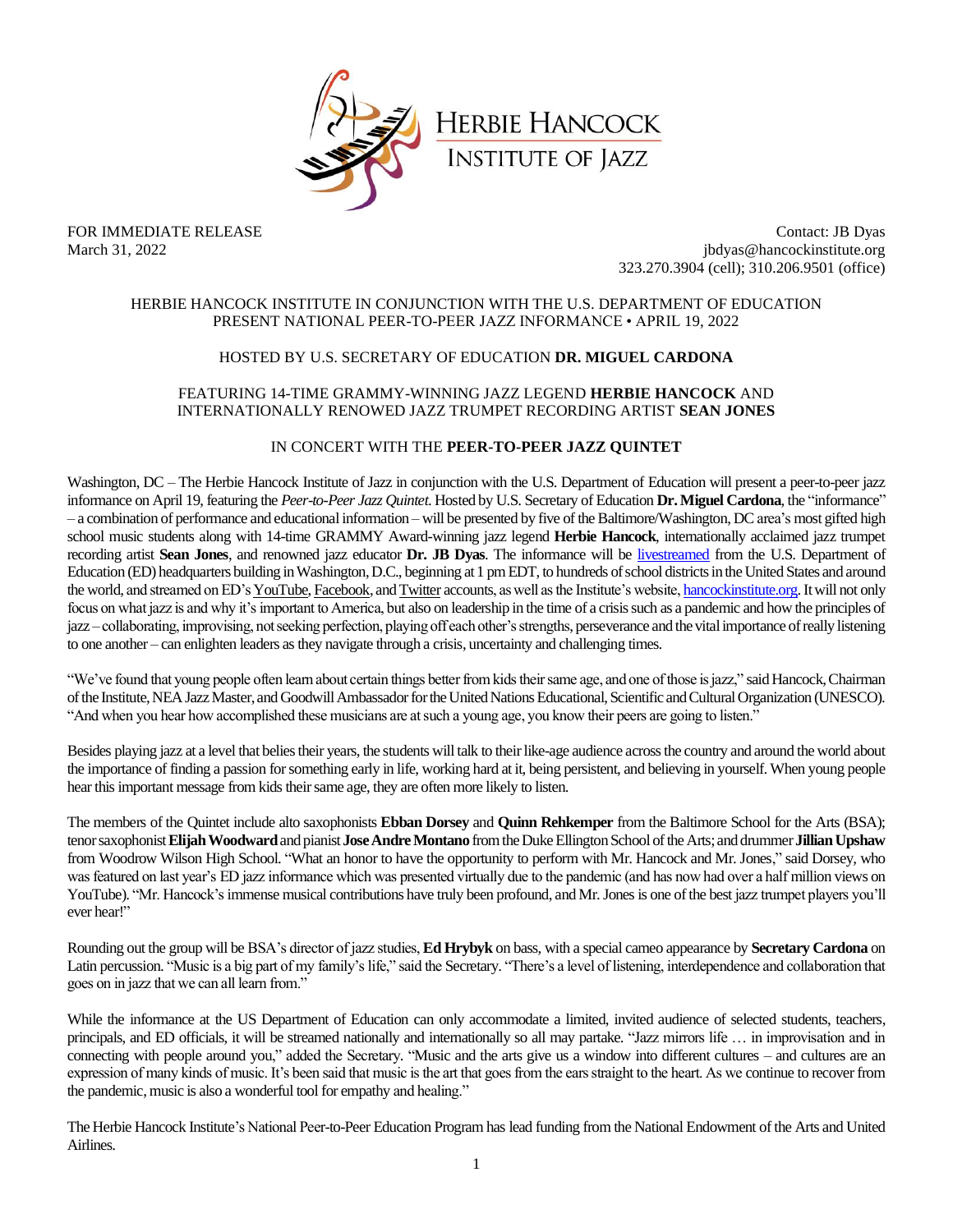

FOR IMMEDIATE RELEASE Contact: JB Dyas March 31, 2022 **jbdyas@hancockinstitute.org** jbdyas@hancockinstitute.org 323.270.3904 (cell); 310.206.9501 (office)

### HERBIE HANCOCK INSTITUTE IN CONJUNCTION WITH THE U.S. DEPARTMENT OF EDUCATION PRESENT NATIONAL PEER-TO-PEER JAZZ INFORMANCE • APRIL 19, 2022

## HOSTED BY U.S. SECRETARY OF EDUCATION **DR. MIGUEL CARDONA**

# FEATURING 14-TIME GRAMMY-WINNING JAZZ LEGEND **HERBIE HANCOCK** AND INTERNATIONALLY RENOWED JAZZ TRUMPET RECORDING ARTIST **SEAN JONES**

## IN CONCERT WITH THE **PEER-TO-PEER JAZZ QUINTET**

Washington, DC – The Herbie Hancock Institute of Jazz in conjunction with the U.S. Department of Education will present a peer-to-peer jazz informance on April 19, featuring the *Peer-to-Peer Jazz Quintet*. Hosted by U.S.Secretary of Education **Dr.Miguel Cardona**,the "informance" – a combination of performance and educational information – will be presented by five of the Baltimore/Washington, DCarea's most gifted high school music students along with 14-time GRAMMY Award-winning jazz legend **Herbie Hancock**, internationally acclaimed jazz trumpet recording artist **Sean Jones**, and renowned jazz educator **Dr. JB Dyas**. The informance will be [livestreamed](https://mediasite.ed.gov/webcast/Play/83698d3b7b8d40a0830b9009b23806d21d) from the U.S. Department of Education (ED) headquarters building in Washington, D.C., beginning at 1 pm EDT, to hundreds of school districts in the United States and around the world, and streamed on ED'[s YouTube,](https://www.youtube.com/c/usdepartmentofeducation) [Facebook,](https://www.facebook.com/ED.gov) an[d Twitter](https://twitter.com/usedgov) accounts, as well as the Institute's website[, hancockinstitute.org.](https://hancockinstitute.org/) It will not only focus on what jazz is and why it's important to America, but also on leadership in the time of a crisis such as a pandemic and how the principles of jazz –collaborating, improvising, not seeking perfection, playing off each other's strengths, perseverance and the vital importance of really listening to one another – can enlighten leaders as they navigate through a crisis, uncertainty and challenging times.

"We've found that young people often learn about certain things better from kids their same age, and one of those is jazz," said Hancock, Chairman of the Institute, NEA Jazz Master, and Goodwill Ambassador for the United Nations Educational, Scientific and Cultural Organization (UNESCO). "And when you hear how accomplished these musicians are at such a young age, you know their peers are going to listen."

Besides playing jazz at a level that belies their years, the students will talk to their like-age audience across the country and around the world about the importance of finding a passion for something early in life, working hard at it, being persistent, and believing in yourself. When young people hear this important message from kids their same age, they are often more likely to listen.

The members of the Quintet include alto saxophonists **Ebban Dorsey** and **Quinn Rehkemper** from the Baltimore School for the Arts (BSA); tenor saxophonist **Elijah Woodward**and pianist**Jose Andre Montano** from the Duke Ellington School of the Arts; and drummer**JillianUpshaw** from Woodrow Wilson High School. "What an honor to have the opportunity to perform with Mr. Hancock and Mr. Jones," said Dorsey, who was featured on last year's ED jazz informance which was presented virtually due to the pandemic (and has now had over a half million views on YouTube). "Mr. Hancock's immense musical contributions have truly been profound, and Mr. Jones is one of the best jazz trumpet players you'll ever hear!"

Rounding out the group will be BSA's director of jazz studies, **Ed Hrybyk**on bass, with a special cameo appearance by **Secretary Cardona** on Latin percussion. "Music is a big part of my family's life," said the Secretary. "There's a level of listening, interdependence and collaboration that goes on in jazz that we can all learn from."

While the informance at the US Department of Education can only accommodate a limited, invited audience of selected students, teachers, principals, and ED officials, it will be streamed nationally and internationally so all may partake. "Jazz mirrors life … in improvisation and in connecting with people around you," added the Secretary. "Music and the arts give us a window into different cultures – and cultures are an expression of many kinds of music. It's been said that music is the art that goes from the ears straight to the heart. As we continue to recover from the pandemic, music is also a wonderful tool for empathy and healing."

The Herbie Hancock Institute's National Peer-to-Peer Education Program has lead funding from the National Endowment of the Arts and United Airlines.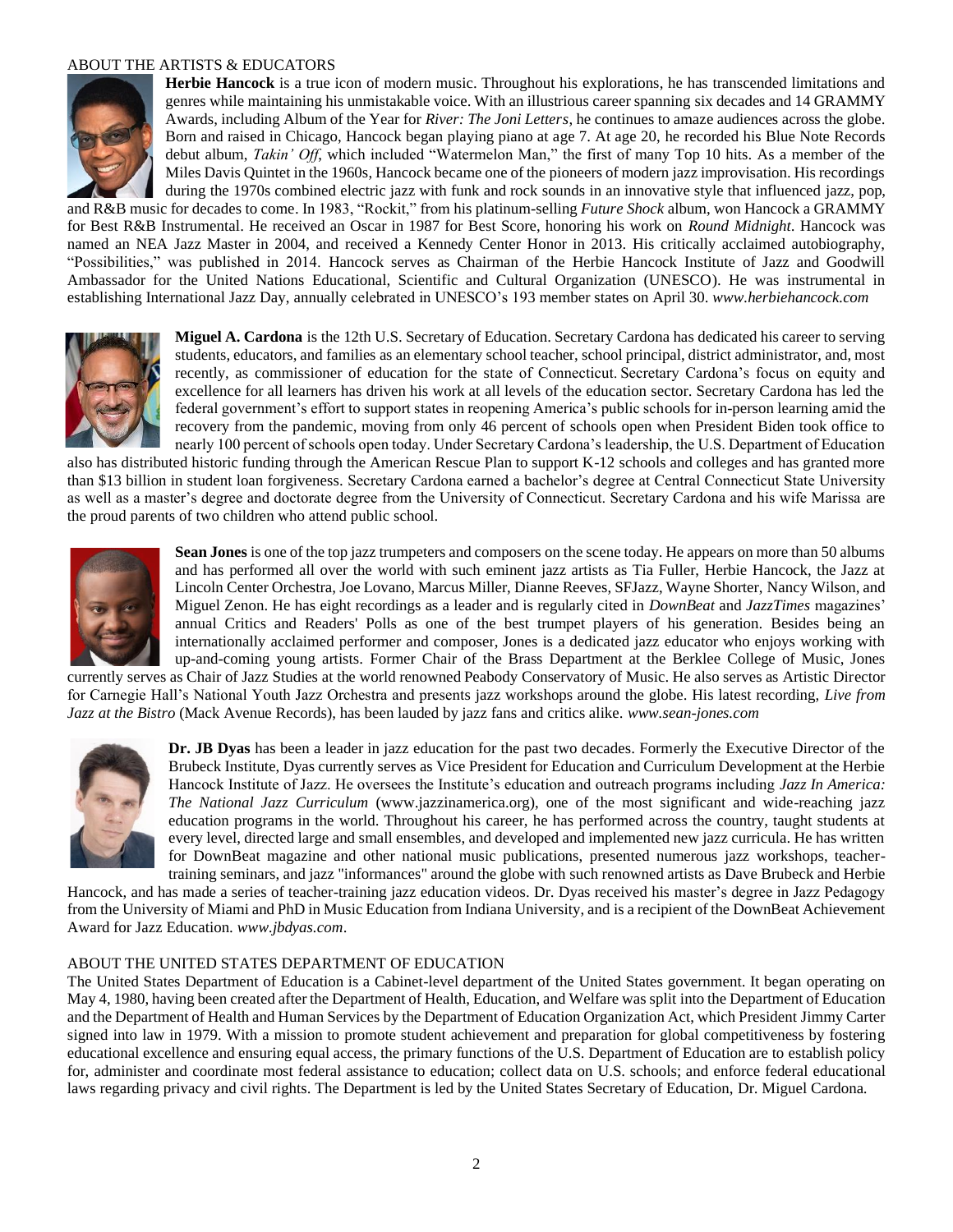### ABOUT THE ARTISTS & EDUCATORS



**Herbie Hancock** is a true icon of modern music. Throughout his explorations, he has transcended limitations and genres while maintaining his unmistakable voice. With an illustrious career spanning six decades and 14 GRAMMY Awards, including Album of the Year for *River: The Joni Letters*, he continues to amaze audiences across the globe. Born and raised in Chicago, Hancock began playing piano at age 7. At age 20, he recorded his Blue Note Records debut album, *Takin' Off*, which included "Watermelon Man," the first of many Top 10 hits. As a member of the Miles Davis Quintetin the 1960s, Hancock became one of the pioneers of modern jazz improvisation. His recordings during the 1970s combined electric jazz with funk and rock sounds in an innovative style that influenced jazz, pop, and R&B music for decades to come. In 1983, "Rockit," from his platinum-selling *Future Shock* album, won Hancock a GRAMMY

for Best R&B Instrumental. He received an Oscar in 1987 for Best Score, honoring his work on *Round Midnight*. Hancock was named an NEA Jazz Master in 2004, and received a Kennedy Center Honor in 2013. His critically acclaimed autobiography, "Possibilities," was published in 2014. Hancock serves as Chairman of the Herbie Hancock Institute of Jazz and Goodwill Ambassador for the United Nations Educational, Scientific and Cultural Organization (UNESCO). He was instrumental in establishing International Jazz Day, annually celebrated in UNESCO's 193 member states on April 30. *www.herbiehancock.com*



**Miguel A. Cardona** is the 12th U.S. Secretary of Education. Secretary Cardona has dedicated his career to serving students, educators, and families as an elementary school teacher, school principal, district administrator, and, most recently, as commissioner of education for the state of Connecticut. Secretary Cardona's focus on equity and excellence for all learners has driven his work at all levels of the education sector. Secretary Cardona has led the federal government's effort to support states in reopening America's public schools for in-person learning amid the recovery from the pandemic, moving from only 46 percent of schools open when President Biden took office to nearly 100 percent of schools open today. Under Secretary Cardona's leadership, the U.S. Department of Education

also has distributed historic funding through the American Rescue Plan to support K-12 schools and colleges and has granted more than \$13 billion in student loan forgiveness. Secretary Cardona earned a bachelor's degree at Central Connecticut State University as well as a master's degree and doctorate degree from the University of Connecticut. Secretary Cardona and his wife Marissa are the proud parents of two children who attend public school.



**Sean Jones** is one of the top jazz trumpeters and composers on the scene today. He appears on more than 50 albums and has performed all over the world with such eminent jazz artists as Tia Fuller, Herbie Hancock, the Jazz at Lincoln Center Orchestra, Joe Lovano, Marcus Miller, Dianne Reeves, SFJazz, Wayne Shorter, Nancy Wilson, and Miguel Zenon. He has eight recordings as a leader and is regularly cited in *DownBeat* and *JazzTimes* magazines' annual Critics and Readers' Polls as one of the best trumpet players of his generation. Besides being an internationally acclaimed performer and composer, Jones is a dedicated jazz educator who enjoys working with up-and-coming young artists. Former Chair of the Brass Department at the Berklee College of Music, Jones

currently serves as Chair of Jazz Studies at the world renowned Peabody Conservatory of Music. He also serves as Artistic Director for Carnegie Hall's National Youth Jazz Orchestra and presents jazz workshops around the globe. His latest recording, *Live from Jazz at the Bistro* (Mack Avenue Records), has been lauded by jazz fans and critics alike. *www.sean-jones.com*



**Dr. JB Dyas** has been a leader in jazz education for the past two decades. Formerly the Executive Director of the Brubeck Institute, Dyas currently serves as Vice President for Education and Curriculum Development at the Herbie Hancock Institute of Jazz. He oversees the Institute's education and outreach programs including *Jazz In America: The National Jazz Curriculum* (www.jazzinamerica.org), one of the most significant and wide-reaching jazz education programs in the world. Throughout his career, he has performed across the country, taught students at every level, directed large and small ensembles, and developed and implemented new jazz curricula. He has written for DownBeat magazine and other national music publications, presented numerous jazz workshops, teachertraining seminars, and jazz "informances" around the globe with such renowned artists as Dave Brubeck and Herbie

Hancock, and has made a series of teacher-training jazz education videos. Dr. Dyas received his master's degree in Jazz Pedagogy from the University of Miami and PhD in Music Education from Indiana University, and is a recipient of the DownBeat Achievement Award for Jazz Education. *www.jbdyas.com*.

## ABOUT THE UNITED STATES DEPARTMENT OF EDUCATION

The United States Department of Education is a Cabinet-level department of the United States government. It began operating on May 4, 1980, having been created after the Department of Health, Education, and Welfare was split into the Department of Education and the Department of Health and Human Services by the Department of Education Organization Act, which President Jimmy Carter signed into law in 1979. With a mission to promote student achievement and preparation for global competitiveness by fostering educational excellence and ensuring equal access, the primary functions of the U.S. Department of Education are to establish policy for, administer and coordinate most federal assistance to education; collect data on U.S. schools; and enforce federal educational laws regarding privacy and civil rights. The Department is led by the United States Secretary of Education, Dr. Miguel Cardona.